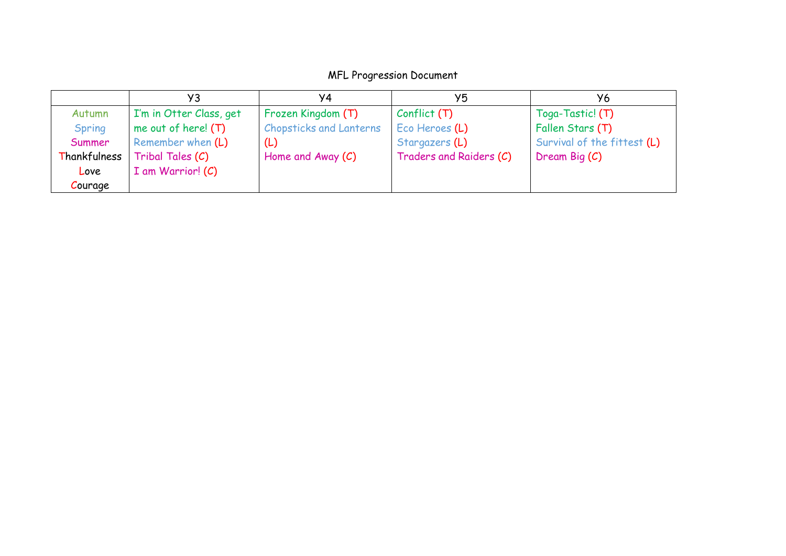## MFL Progression Document

|              | УЗ                      | Y4                             | Y5                      | У6                          |
|--------------|-------------------------|--------------------------------|-------------------------|-----------------------------|
| Autumn       | I'm in Otter Class, get | Frozen Kingdom (T)             | Conflict(T)             | Toga-Tastic! (T)            |
| Spring       | me out of here! $(T)$   | <b>Chopsticks and Lanterns</b> | Eco Heroes (L)          | Fallen Stars (T)            |
| Summer       | Remember when (L)       | (L)                            | Stargazers (L)          | Survival of the fittest (L) |
| Thankfulness | Tribal Tales (C)        | Home and Away $(C)$            | Traders and Raiders (C) | Dream Big (C)               |
| Love         | $I$ am Warrior! $(C)$   |                                |                         |                             |
| Courage      |                         |                                |                         |                             |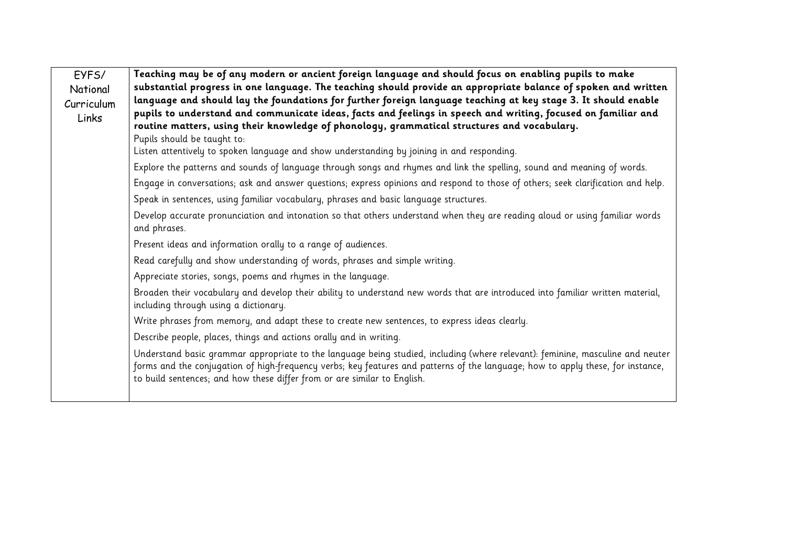| EYFS/      | Teaching may be of any modern or ancient foreign language and should focus on enabling pupils to make                                                                                                                                                                                                                                         |  |  |  |  |  |
|------------|-----------------------------------------------------------------------------------------------------------------------------------------------------------------------------------------------------------------------------------------------------------------------------------------------------------------------------------------------|--|--|--|--|--|
| National   | substantial progress in one language. The teaching should provide an appropriate balance of spoken and written                                                                                                                                                                                                                                |  |  |  |  |  |
| Curriculum | language and should lay the foundations for further foreign language teaching at key stage 3. It should enable                                                                                                                                                                                                                                |  |  |  |  |  |
| Links      | pupils to understand and communicate ideas, facts and feelings in speech and writing, focused on familiar and<br>routine matters, using their knowledge of phonology, grammatical structures and vocabulary.                                                                                                                                  |  |  |  |  |  |
|            | Pupils should be taught to:                                                                                                                                                                                                                                                                                                                   |  |  |  |  |  |
|            | Listen attentively to spoken language and show understanding by joining in and responding.                                                                                                                                                                                                                                                    |  |  |  |  |  |
|            | Explore the patterns and sounds of language through songs and rhymes and link the spelling, sound and meaning of words.                                                                                                                                                                                                                       |  |  |  |  |  |
|            | Engage in conversations; ask and answer questions; express opinions and respond to those of others; seek clarification and help.                                                                                                                                                                                                              |  |  |  |  |  |
|            | Speak in sentences, using familiar vocabulary, phrases and basic language structures.                                                                                                                                                                                                                                                         |  |  |  |  |  |
|            | Develop accurate pronunciation and intonation so that others understand when they are reading aloud or using familiar words<br>and phrases.                                                                                                                                                                                                   |  |  |  |  |  |
|            | Present ideas and information orally to a range of audiences.                                                                                                                                                                                                                                                                                 |  |  |  |  |  |
|            | Read carefully and show understanding of words, phrases and simple writing.                                                                                                                                                                                                                                                                   |  |  |  |  |  |
|            | Appreciate stories, songs, poems and rhymes in the language.                                                                                                                                                                                                                                                                                  |  |  |  |  |  |
|            | Broaden their vocabulary and develop their ability to understand new words that are introduced into familiar written material,<br>including through using a dictionary.                                                                                                                                                                       |  |  |  |  |  |
|            | Write phrases from memory, and adapt these to create new sentences, to express ideas clearly.                                                                                                                                                                                                                                                 |  |  |  |  |  |
|            | Describe people, places, things and actions orally and in writing.                                                                                                                                                                                                                                                                            |  |  |  |  |  |
|            | Understand basic grammar appropriate to the language being studied, including (where relevant): feminine, masculine and neuter<br>forms and the conjugation of high-frequency verbs; key features and patterns of the language; how to apply these, for instance,<br>to build sentences; and how these differ from or are similar to English. |  |  |  |  |  |
|            |                                                                                                                                                                                                                                                                                                                                               |  |  |  |  |  |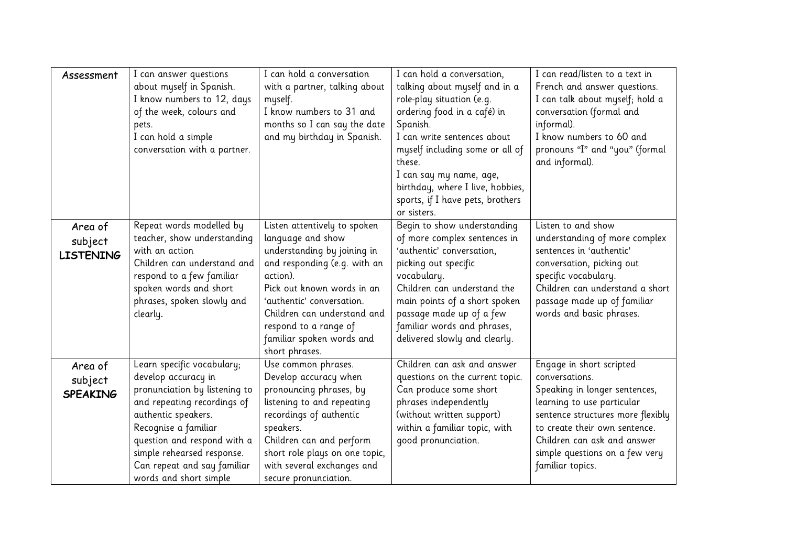| Assessment                             | I can answer questions<br>about myself in Spanish.<br>I know numbers to 12, days<br>of the week, colours and<br>pets.<br>I can hold a simple<br>conversation with a partner.                                                                                                           | I can hold a conversation<br>with a partner, talking about<br>myself.<br>I know numbers to 31 and<br>months so I can say the date<br>and my birthday in Spanish.                                                                                                                               | I can hold a conversation,<br>talking about myself and in a<br>role-play situation (e.g.<br>ordering food in a café) in<br>Spanish.<br>I can write sentences about<br>myself including some or all of<br>these.<br>I can say my name, age,<br>birthday, where I live, hobbies,<br>sports, if I have pets, brothers<br>or sisters. | I can read/listen to a text in<br>French and answer questions.<br>I can talk about myself; hold a<br>conversation (formal and<br>informal).<br>I know numbers to 60 and<br>pronouns "I" and "you" (formal<br>and informal).                                          |
|----------------------------------------|----------------------------------------------------------------------------------------------------------------------------------------------------------------------------------------------------------------------------------------------------------------------------------------|------------------------------------------------------------------------------------------------------------------------------------------------------------------------------------------------------------------------------------------------------------------------------------------------|-----------------------------------------------------------------------------------------------------------------------------------------------------------------------------------------------------------------------------------------------------------------------------------------------------------------------------------|----------------------------------------------------------------------------------------------------------------------------------------------------------------------------------------------------------------------------------------------------------------------|
| Area of<br>subject<br><b>LISTENING</b> | Repeat words modelled by<br>teacher, show understanding<br>with an action<br>Children can understand and<br>respond to a few familiar<br>spoken words and short<br>phrases, spoken slowly and<br>clearly.                                                                              | Listen attentively to spoken<br>language and show<br>understanding by joining in<br>and responding (e.g. with an<br>action).<br>Pick out known words in an<br>'authentic' conversation.<br>Children can understand and<br>respond to a range of<br>familiar spoken words and<br>short phrases. | Begin to show understanding<br>of more complex sentences in<br>'authentic' conversation,<br>picking out specific<br>vocabulary.<br>Children can understand the<br>main points of a short spoken<br>passage made up of a few<br>familiar words and phrases,<br>delivered slowly and clearly.                                       | Listen to and show<br>understanding of more complex<br>sentences in 'authentic'<br>conversation, picking out<br>specific vocabulary.<br>Children can understand a short<br>passage made up of familiar<br>words and basic phrases.                                   |
| Area of<br>subject<br><b>SPEAKING</b>  | Learn specific vocabulary;<br>develop accuracy in<br>pronunciation by listening to<br>and repeating recordings of<br>authentic speakers.<br>Recognise a familiar<br>question and respond with a<br>simple rehearsed response.<br>Can repeat and say familiar<br>words and short simple | Use common phrases.<br>Develop accuracy when<br>pronouncing phrases, by<br>listening to and repeating<br>recordings of authentic<br>speakers.<br>Children can and perform<br>short role plays on one topic,<br>with several exchanges and<br>secure pronunciation.                             | Children can ask and answer<br>questions on the current topic.<br>Can produce some short<br>phrases independently<br>(without written support)<br>within a familiar topic, with<br>qood pronunciation.                                                                                                                            | Engage in short scripted<br>conversations.<br>Speaking in longer sentences,<br>learning to use particular<br>sentence structures more flexibly<br>to create their own sentence.<br>Children can ask and answer<br>simple questions on a few very<br>familiar topics. |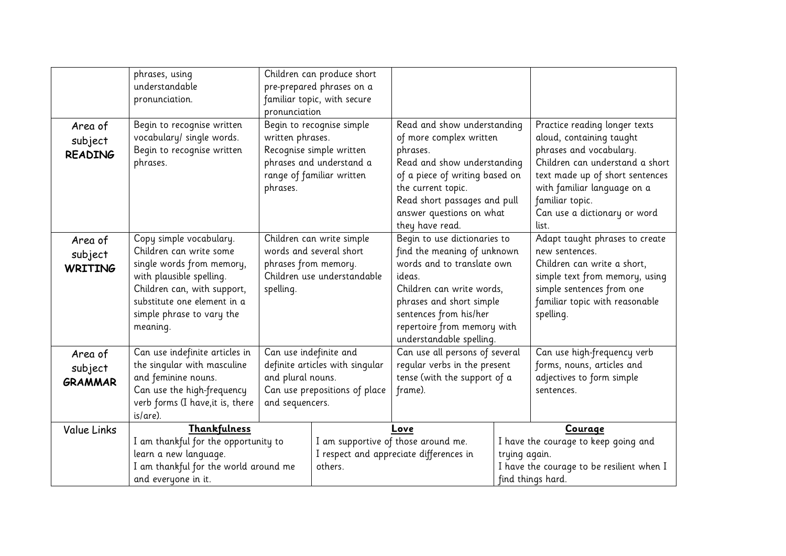|                | phrases, using                        |                                 | Children can produce short                                  |                                |                                                            |                                 |  |
|----------------|---------------------------------------|---------------------------------|-------------------------------------------------------------|--------------------------------|------------------------------------------------------------|---------------------------------|--|
|                | understandable                        |                                 | pre-prepared phrases on a                                   |                                |                                                            |                                 |  |
|                | pronunciation.                        |                                 | familiar topic, with secure                                 |                                |                                                            |                                 |  |
|                |                                       | pronunciation                   |                                                             |                                |                                                            |                                 |  |
| Area of        | Begin to recognise written            | Begin to recognise simple       |                                                             | Read and show understanding    |                                                            | Practice reading longer texts   |  |
| subject        | vocabulary/ single words.             | written phrases.                |                                                             | of more complex written        |                                                            | aloud, containing taught        |  |
| <b>READING</b> | Begin to recognise written            | Recognise simple written        |                                                             | phrases.                       |                                                            | phrases and vocabulary.         |  |
|                | phrases.                              | phrases and understand a        |                                                             | Read and show understanding    |                                                            | Children can understand a short |  |
|                |                                       |                                 | range of familiar written<br>of a piece of writing based on |                                |                                                            | text made up of short sentences |  |
|                |                                       | phrases.                        | the current topic.                                          |                                |                                                            | with familiar language on a     |  |
|                |                                       |                                 |                                                             | Read short passages and pull   |                                                            | familiar topic.                 |  |
|                |                                       |                                 |                                                             | answer questions on what       |                                                            | Can use a dictionary or word    |  |
|                |                                       |                                 |                                                             | they have read.                |                                                            | list.                           |  |
| Area of        | Copy simple vocabulary.               | Children can write simple       |                                                             | Begin to use dictionaries to   |                                                            | Adapt taught phrases to create  |  |
| subject        | Children can write some               | words and several short         |                                                             | find the meaning of unknown    |                                                            | new sentences.                  |  |
| <b>WRITING</b> | single words from memory,             | phrases from memory.            |                                                             | words and to translate own     |                                                            | Children can write a short,     |  |
|                | with plausible spelling.              | Children use understandable     |                                                             | ideas.                         |                                                            | simple text from memory, using  |  |
|                | Children can, with support,           | spelling.                       |                                                             | Children can write words,      |                                                            | simple sentences from one       |  |
|                | substitute one element in a           |                                 |                                                             | phrases and short simple       |                                                            | familiar topic with reasonable  |  |
|                | simple phrase to vary the             |                                 |                                                             | sentences from his/her         |                                                            | spelling.                       |  |
|                | meaning.                              |                                 |                                                             | repertoire from memory with    |                                                            |                                 |  |
|                |                                       |                                 | understandable spelling.                                    |                                |                                                            |                                 |  |
| Area of        | Can use indefinite articles in        | Can use indefinite and          |                                                             | Can use all persons of several |                                                            | Can use high-frequency verb     |  |
| subject        | the singular with masculine           | definite articles with singular |                                                             | reqular verbs in the present   |                                                            | forms, nouns, articles and      |  |
| <b>GRAMMAR</b> | and feminine nouns.                   | and plural nouns.               |                                                             | tense (with the support of a   |                                                            | adjectives to form simple       |  |
|                | Can use the high-frequency            |                                 | Can use prepositions of place                               | frame).                        |                                                            | sentences.                      |  |
|                | verb forms (I have, it is, there      | and sequencers.                 |                                                             |                                |                                                            |                                 |  |
|                | is/are).                              |                                 |                                                             |                                |                                                            |                                 |  |
| Value Links    | Thankfulness                          |                                 |                                                             | Love                           |                                                            | Courage                         |  |
|                | I am thankful for the opportunity to  |                                 | I am supportive of those around me.                         |                                | I have the courage to keep going and                       |                                 |  |
|                | learn a new language.                 |                                 | I respect and appreciate differences in<br>others.          |                                | trying again.<br>I have the courage to be resilient when I |                                 |  |
|                | I am thankful for the world around me |                                 |                                                             |                                |                                                            |                                 |  |
|                | and everyone in it.                   |                                 |                                                             |                                |                                                            | find things hard.               |  |